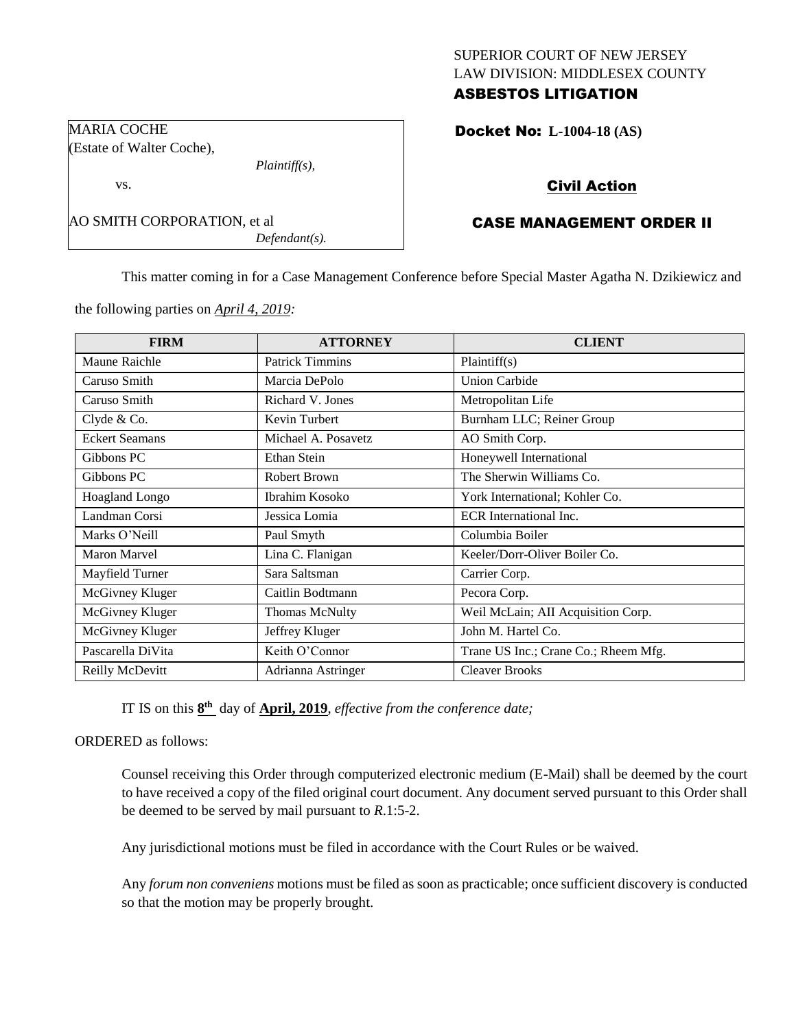# SUPERIOR COURT OF NEW JERSEY LAW DIVISION: MIDDLESEX COUNTY ASBESTOS LITIGATION

Docket No: **L-1004-18 (AS)** 

# Civil Action

# CASE MANAGEMENT ORDER II

This matter coming in for a Case Management Conference before Special Master Agatha N. Dzikiewicz and

the following parties on *April 4, 2019:*

AO SMITH CORPORATION, et al

*Plaintiff(s),*

*Defendant(s).*

MARIA COCHE

vs.

(Estate of Walter Coche),

| <b>FIRM</b>           | <b>ATTORNEY</b>        | <b>CLIENT</b>                        |
|-----------------------|------------------------|--------------------------------------|
| Maune Raichle         | <b>Patrick Timmins</b> | Plaintiff(s)                         |
| Caruso Smith          | Marcia DePolo          | <b>Union Carbide</b>                 |
| Caruso Smith          | Richard V. Jones       | Metropolitan Life                    |
| Clyde & Co.           | Kevin Turbert          | Burnham LLC; Reiner Group            |
| <b>Eckert Seamans</b> | Michael A. Posavetz    | AO Smith Corp.                       |
| Gibbons PC            | Ethan Stein            | Honeywell International              |
| Gibbons PC            | <b>Robert Brown</b>    | The Sherwin Williams Co.             |
| Hoagland Longo        | Ibrahim Kosoko         | York International; Kohler Co.       |
| Landman Corsi         | Jessica Lomia          | ECR International Inc.               |
| Marks O'Neill         | Paul Smyth             | Columbia Boiler                      |
| Maron Marvel          | Lina C. Flanigan       | Keeler/Dorr-Oliver Boiler Co.        |
| Mayfield Turner       | Sara Saltsman          | Carrier Corp.                        |
| McGivney Kluger       | Caitlin Bodtmann       | Pecora Corp.                         |
| McGivney Kluger       | <b>Thomas McNulty</b>  | Weil McLain; AII Acquisition Corp.   |
| McGivney Kluger       | Jeffrey Kluger         | John M. Hartel Co.                   |
| Pascarella DiVita     | Keith O'Connor         | Trane US Inc.; Crane Co.; Rheem Mfg. |
| Reilly McDevitt       | Adrianna Astringer     | <b>Cleaver Brooks</b>                |

IT IS on this **8 th** day of **April, 2019**, *effective from the conference date;*

ORDERED as follows:

Counsel receiving this Order through computerized electronic medium (E-Mail) shall be deemed by the court to have received a copy of the filed original court document. Any document served pursuant to this Order shall be deemed to be served by mail pursuant to *R*.1:5-2.

Any jurisdictional motions must be filed in accordance with the Court Rules or be waived.

Any *forum non conveniens* motions must be filed as soon as practicable; once sufficient discovery is conducted so that the motion may be properly brought.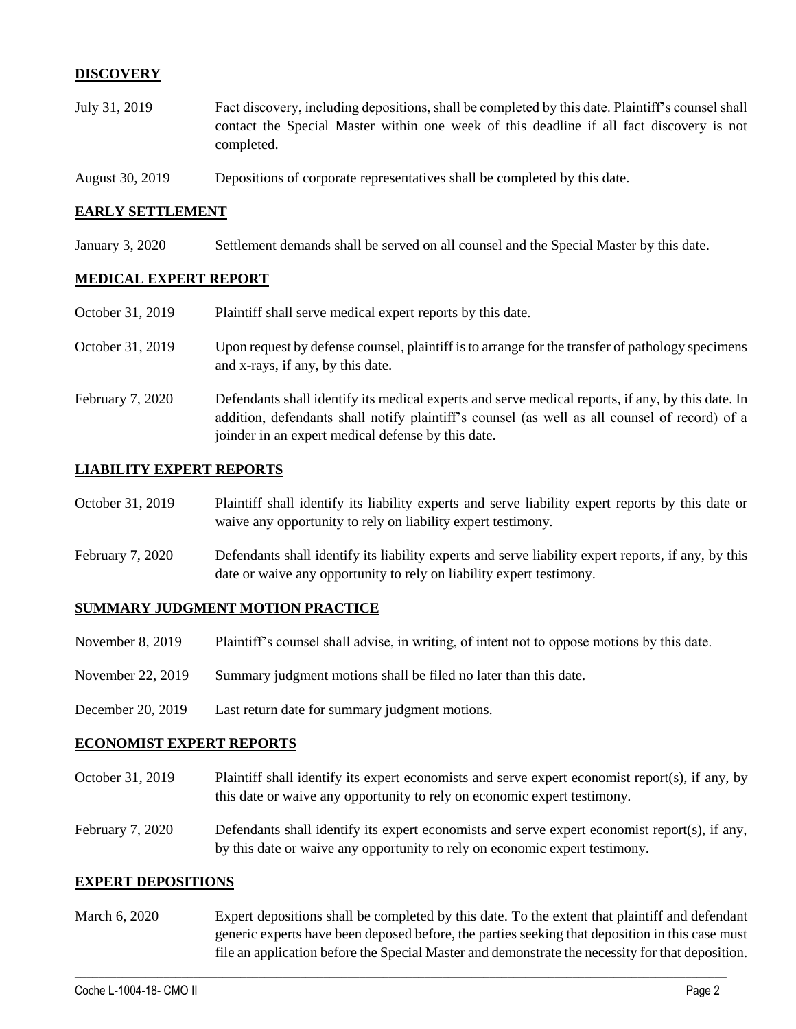## **DISCOVERY**

- July 31, 2019 Fact discovery, including depositions, shall be completed by this date. Plaintiff's counsel shall contact the Special Master within one week of this deadline if all fact discovery is not completed.
- August 30, 2019 Depositions of corporate representatives shall be completed by this date.

### **EARLY SETTLEMENT**

January 3, 2020 Settlement demands shall be served on all counsel and the Special Master by this date.

### **MEDICAL EXPERT REPORT**

| October 31, 2019 | Plaintiff shall serve medical expert reports by this date.                                                                                                                                                                                               |
|------------------|----------------------------------------------------------------------------------------------------------------------------------------------------------------------------------------------------------------------------------------------------------|
| October 31, 2019 | Upon request by defense counsel, plaintiff is to arrange for the transfer of pathology specimens<br>and x-rays, if any, by this date.                                                                                                                    |
| February 7, 2020 | Defendants shall identify its medical experts and serve medical reports, if any, by this date. In<br>addition, defendants shall notify plaintiff's counsel (as well as all counsel of record) of a<br>joinder in an expert medical defense by this date. |

### **LIABILITY EXPERT REPORTS**

| October 31, 2019 | Plaintiff shall identify its liability experts and serve liability expert reports by this date or |
|------------------|---------------------------------------------------------------------------------------------------|
|                  | waive any opportunity to rely on liability expert testimony.                                      |

February 7, 2020 Defendants shall identify its liability experts and serve liability expert reports, if any, by this date or waive any opportunity to rely on liability expert testimony.

### **SUMMARY JUDGMENT MOTION PRACTICE**

- November 8, 2019 Plaintiff's counsel shall advise, in writing, of intent not to oppose motions by this date.
- November 22, 2019 Summary judgment motions shall be filed no later than this date.
- December 20, 2019 Last return date for summary judgment motions.

#### **ECONOMIST EXPERT REPORTS**

- October 31, 2019 Plaintiff shall identify its expert economists and serve expert economist report(s), if any, by this date or waive any opportunity to rely on economic expert testimony.
- February 7, 2020 Defendants shall identify its expert economists and serve expert economist report(s), if any, by this date or waive any opportunity to rely on economic expert testimony.

### **EXPERT DEPOSITIONS**

March 6, 2020 Expert depositions shall be completed by this date. To the extent that plaintiff and defendant generic experts have been deposed before, the parties seeking that deposition in this case must file an application before the Special Master and demonstrate the necessity for that deposition.

 $\_$  , and the set of the set of the set of the set of the set of the set of the set of the set of the set of the set of the set of the set of the set of the set of the set of the set of the set of the set of the set of th